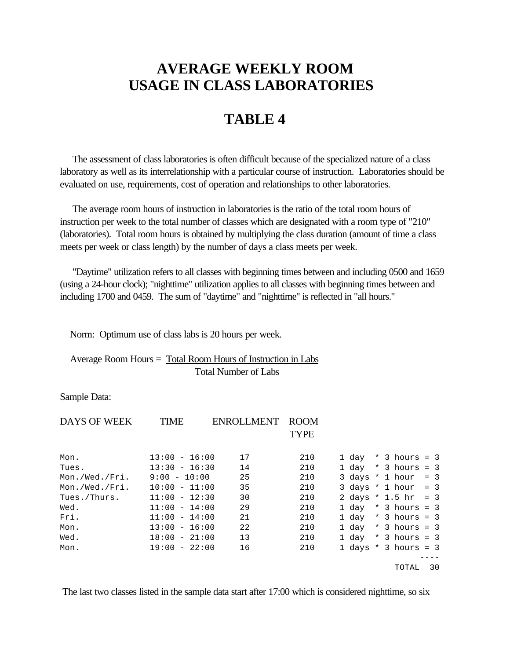## **AVERAGE WEEKLY ROOM USAGE IN CLASS LABORATORIES**

## **TABLE 4**

 The assessment of class laboratories is often difficult because of the specialized nature of a class laboratory as well as its interrelationship with a particular course of instruction. Laboratories should be evaluated on use, requirements, cost of operation and relationships to other laboratories.

 The average room hours of instruction in laboratories is the ratio of the total room hours of instruction per week to the total number of classes which are designated with a room type of "210" (laboratories). Total room hours is obtained by multiplying the class duration (amount of time a class meets per week or class length) by the number of days a class meets per week.

 "Daytime" utilization refers to all classes with beginning times between and including 0500 and 1659 (using a 24-hour clock); "nighttime" utilization applies to all classes with beginning times between and including 1700 and 0459. The sum of "daytime" and "nighttime" is reflected in "all hours."

Norm: Optimum use of class labs is 20 hours per week.

 Average Room Hours = Total Room Hours of Instruction in Labs Total Number of Labs

Sample Data:

| <b>DAYS OF WEEK</b> | <b>TIME</b>     | ENROLLMENT | <b>ROOM</b> |  |  |                        |    |
|---------------------|-----------------|------------|-------------|--|--|------------------------|----|
|                     |                 |            | <b>TYPE</b> |  |  |                        |    |
| Mon.                | $13:00 - 16:00$ | 17         | 210         |  |  | $1 day * 3 hours = 3$  |    |
| Tues.               | $13:30 - 16:30$ | 14         | 210         |  |  | 1 day $*$ 3 hours = 3  |    |
| Mon./Wed./Fri.      | $9:00 - 10:00$  | 25         | 210         |  |  | 3 days $*$ 1 hour = 3  |    |
| Mon./Wed./Fri.      | $10:00 - 11:00$ | 35         | 210         |  |  | 3 days $*$ 1 hour = 3  |    |
| Tues./Thurs.        | $11:00 - 12:30$ | 30         | 210         |  |  | 2 days * 1.5 hr = 3    |    |
| Wed.                | $11:00 - 14:00$ | 29         | 210         |  |  | 1 day $*$ 3 hours = 3  |    |
| Fri.                | $11:00 - 14:00$ | 21         | 210         |  |  | $1 day * 3 hours = 3$  |    |
| Mon.                | $13:00 - 16:00$ | 22         | 210         |  |  | $1 day * 3 hours = 3$  |    |
| Wed.                | $18:00 - 21:00$ | 13         | 210         |  |  | $1 day * 3 hours = 3$  |    |
| Mon.                | $19:00 - 22:00$ | 16         | 210         |  |  | 1 days $*$ 3 hours = 3 |    |
|                     |                 |            |             |  |  |                        |    |
|                     |                 |            |             |  |  | TOTAL                  | 30 |

The last two classes listed in the sample data start after 17:00 which is considered nighttime, so six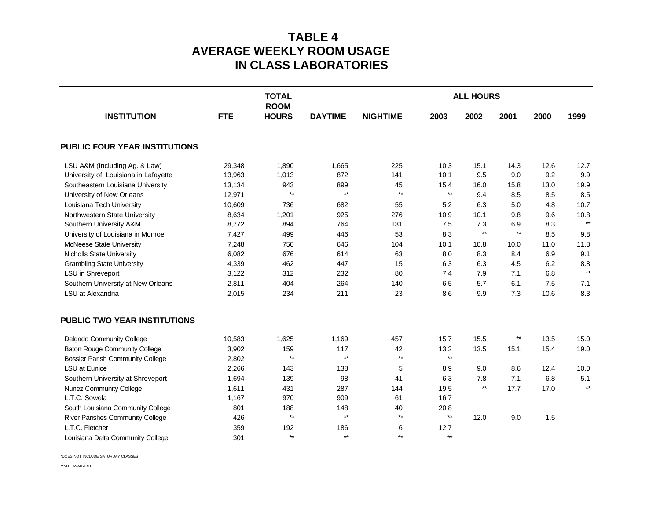## **TABLE 4 AVERAGE WEEKLY ROOM USAGE IN CLASS LABORATORIES**

|                                         |            | <b>TOTAL</b><br><b>ROOM</b> |                 | <b>ALL HOURS</b> |                 |              |                 |      |              |  |
|-----------------------------------------|------------|-----------------------------|-----------------|------------------|-----------------|--------------|-----------------|------|--------------|--|
| <b>INSTITUTION</b>                      | <b>FTE</b> | <b>HOURS</b>                | <b>DAYTIME</b>  | <b>NIGHTIME</b>  | 2003            | 2002         | 2001            | 2000 | 1999         |  |
| <b>PUBLIC FOUR YEAR INSTITUTIONS</b>    |            |                             |                 |                  |                 |              |                 |      |              |  |
| LSU A&M (Including Ag. & Law)           | 29,348     | 1,890                       | 1,665           | 225              | 10.3            | 15.1         | 14.3            | 12.6 | 12.7         |  |
| University of Louisiana in Lafayette    | 13,963     | 1,013                       | 872             | 141              | 10.1            | 9.5          | 9.0             | 9.2  | 9.9          |  |
| Southeastern Louisiana University       | 13,134     | 943                         | 899             | 45               | 15.4            | 16.0         | 15.8            | 13.0 | 19.9         |  |
| University of New Orleans               | 12,971     | $**$                        | $**$            | $\star\star$     | $^{\star\star}$ | 9.4          | 8.5             | 8.5  | 8.5          |  |
| Louisiana Tech University               | 10,609     | 736                         | 682             | 55               | 5.2             | 6.3          | 5.0             | 4.8  | 10.7         |  |
| Northwestern State University           | 8,634      | 1,201                       | 925             | 276              | 10.9            | 10.1         | 9.8             | 9.6  | 10.8         |  |
| Southern University A&M                 | 8,772      | 894                         | 764             | 131              | 7.5             | 7.3          | 6.9             | 8.3  | $\star\star$ |  |
| University of Louisiana in Monroe       | 7,427      | 499                         | 446             | 53               | 8.3             | $\star\star$ | $\star\star$    | 8.5  | 9.8          |  |
| McNeese State University                | 7,248      | 750                         | 646             | 104              | 10.1            | 10.8         | 10.0            | 11.0 | 11.8         |  |
| <b>Nicholls State University</b>        | 6,082      | 676                         | 614             | 63               | 8.0             | 8.3          | 8.4             | 6.9  | 9.1          |  |
| <b>Grambling State University</b>       | 4,339      | 462                         | 447             | 15               | 6.3             | 6.3          | 4.5             | 6.2  | 8.8          |  |
| LSU in Shreveport                       | 3,122      | 312                         | 232             | 80               | 7.4             | 7.9          | 7.1             | 6.8  | $\star\star$ |  |
| Southern University at New Orleans      | 2,811      | 404                         | 264             | 140              | 6.5             | 5.7          | 6.1             | 7.5  | 7.1          |  |
| LSU at Alexandria                       | 2,015      | 234                         | 211             | 23               | 8.6             | 9.9          | 7.3             | 10.6 | 8.3          |  |
| <b>PUBLIC TWO YEAR INSTITUTIONS</b>     |            |                             |                 |                  |                 |              |                 |      |              |  |
| Delgado Community College               | 10,583     | 1,625                       | 1,169           | 457              | 15.7            | 15.5         | $^{\star\star}$ | 13.5 | 15.0         |  |
| <b>Baton Rouge Community College</b>    | 3,902      | 159                         | 117             | 42               | 13.2            | 13.5         | 15.1            | 15.4 | 19.0         |  |
| <b>Bossier Parish Community College</b> | 2,802      | $\star\star$                | $^{\star\star}$ | $^{\star\star}$  | $\star\star$    |              |                 |      |              |  |
| <b>LSU at Eunice</b>                    | 2,266      | 143                         | 138             | 5                | 8.9             | 9.0          | 8.6             | 12.4 | 10.0         |  |
| Southern University at Shreveport       | 1,694      | 139                         | 98              | 41               | 6.3             | 7.8          | 7.1             | 6.8  | 5.1          |  |
| Nunez Community College                 | 1,611      | 431                         | 287             | 144              | 19.5            | $\star\star$ | 17.7            | 17.0 | $\star\star$ |  |
| L.T.C. Sowela                           | 1,167      | 970                         | 909             | 61               | 16.7            |              |                 |      |              |  |
| South Louisiana Community College       | 801        | 188                         | 148             | 40               | 20.8            |              |                 |      |              |  |
| <b>River Parishes Community College</b> | 426        | $**$                        | $**$            | $\star\star$     | $**$            | 12.0         | 9.0             | 1.5  |              |  |
| L.T.C. Fletcher                         | 359        | 192                         | 186             | 6                | 12.7            |              |                 |      |              |  |
| Louisiana Delta Community College       | 301        | $**$                        | $**$            | $**$             | $**$            |              |                 |      |              |  |

\*DOES NOT INCLUDE SATURDAY CLASSES

\*\*NOT AVAILABLE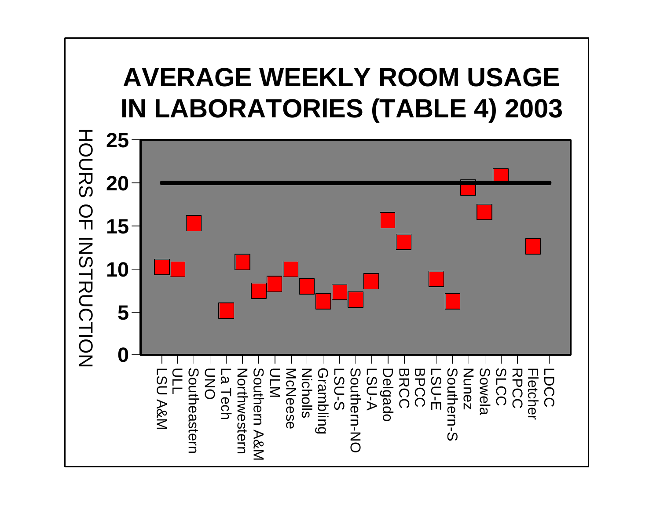